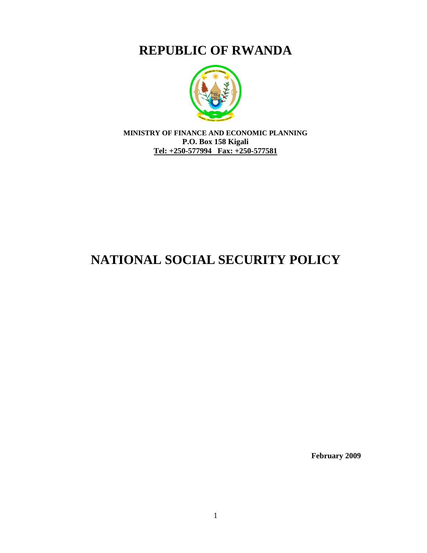**REPUBLIC OF RWANDA**



**MINISTRY OF FINANCE AND ECONOMIC PLANNING P.O. Box 158 Kigali Tel: +250-577994 Fax: +250-577581**

# **NATIONAL SOCIAL SECURITY POLICY**

**February 2009**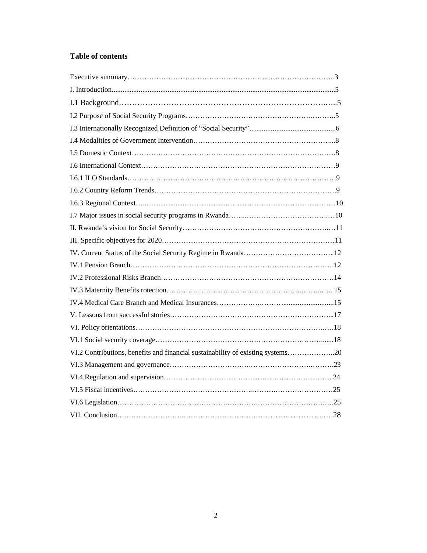# **Table of contents**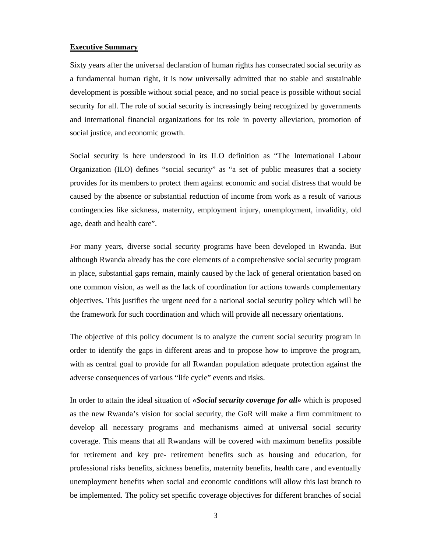#### **Executive Summary**

Sixty years after the universal declaration of human rights has consecrated social security as a fundamental human right, it is now universally admitted that no stable and sustainable development is possible without social peace, and no social peace is possible without social security for all. The role of social security is increasingly being recognized by governments and international financial organizations for its role in poverty alleviation, promotion of social justice, and economic growth.

Social security is here understood in its ILO definition as "The International Labour Organization (ILO) defines "social security" as "a set of public measures that a society provides for its members to protect them against economic and social distress that would be caused by the absence or substantial reduction of income from work as a result of various contingencies like sickness, maternity, employment injury, unemployment, invalidity, old age, death and health care".

For many years, diverse social security programs have been developed in Rwanda. But although Rwanda already has the core elements of a comprehensive social security program in place, substantial gaps remain, mainly caused by the lack of general orientation based on one common vision, as well as the lack of coordination for actions towards complementary objectives. This justifies the urgent need for a national social security policy which will be the framework for such coordination and which will provide all necessary orientations.

The objective of this policy document is to analyze the current social security program in order to identify the gaps in different areas and to propose how to improve the program, with as central goal to provide for all Rwandan population adequate protection against the adverse consequences of various "life cycle" events and risks.

In order to attain the ideal situation of *«Social security coverage for all»* which is proposed as the new Rwanda's vision for social security, the GoR will make a firm commitment to develop all necessary programs and mechanisms aimed at universal social security coverage. This means that all Rwandans will be covered with maximum benefits possible for retirement and key pre- retirement benefits such as housing and education, for professional risks benefits, sickness benefits, maternity benefits, health care , and eventually unemployment benefits when social and economic conditions will allow this last branch to be implemented. The policy set specific coverage objectives for different branches of social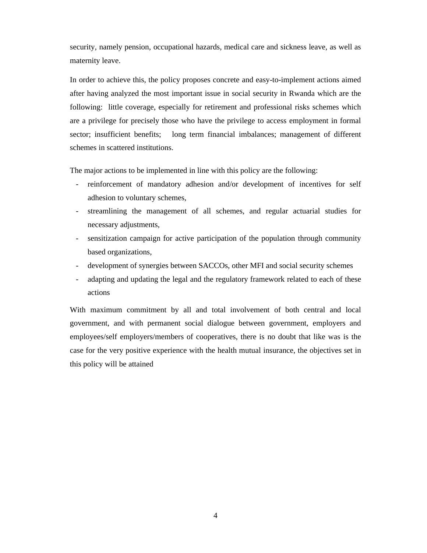security, namely pension, occupational hazards, medical care and sickness leave, as well as maternity leave.

In order to achieve this, the policy proposes concrete and easy-to-implement actions aimed after having analyzed the most important issue in social security in Rwanda which are the following: little coverage, especially for retirement and professional risks schemes which are a privilege for precisely those who have the privilege to access employment in formal sector; insufficient benefits; long term financial imbalances; management of different schemes in scattered institutions.

The major actions to be implemented in line with this policy are the following:

- reinforcement of mandatory adhesion and/or development of incentives for self adhesion to voluntary schemes,
- streamlining the management of all schemes, and regular actuarial studies for necessary adjustments,
- sensitization campaign for active participation of the population through community based organizations,
- development of synergies between SACCOs, other MFI and social security schemes
- adapting and updating the legal and the regulatory framework related to each of these actions

With maximum commitment by all and total involvement of both central and local government, and with permanent social dialogue between government, employers and employees/self employers/members of cooperatives, there is no doubt that like was is the case for the very positive experience with the health mutual insurance, the objectives set in this policy will be attained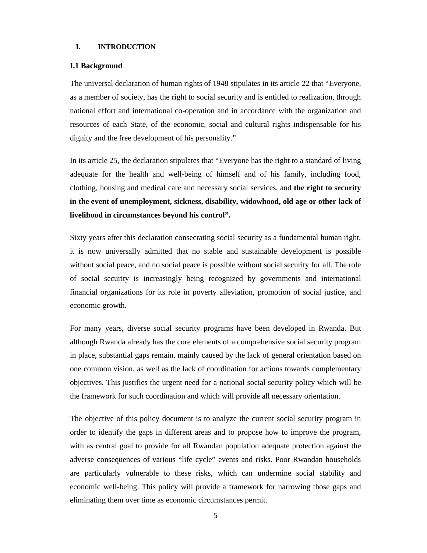# **I. INTRODUCTION**

#### **I.1 Background**

The universal declaration of human rights of 1948 stipulates in its article 22 that "Everyone, as a member of society, has the right to social security and is entitled to realization, through national effort and international co-operation and in accordance with the organization and resources of each State, of the economic, social and cultural rights indispensable for his dignity and the free development of his personality."

In its article 25, the declaration stipulates that "Everyone has the right to a standard of living adequate for the health and well-being of himself and of his family, including food, clothing, housing and medical care and necessary social services, and **the right to security in the event of unemployment, sickness, disability, widowhood, old age or other lack of livelihood in circumstances beyond his control".**

Sixty years after this declaration consecrating social security as a fundamental human right, it is now universally admitted that no stable and sustainable development is possible without social peace, and no social peace is possible without social security for all. The role of social security is increasingly being recognized by governments and international financial organizations for its role in poverty alleviation, promotion of social justice, and economic growth.

For many years, diverse social security programs have been developed in Rwanda. But although Rwanda already has the core elements of a comprehensive social security program in place, substantial gaps remain, mainly caused by the lack of general orientation based on one common vision, as well as the lack of coordination for actions towards complementary objectives. This justifies the urgent need for a national social security policy which will be the framework for such coordination and which will provide all necessary orientation.

The objective of this policy document is to analyze the current social security program in order to identify the gaps in different areas and to propose how to improve the program, with as central goal to provide for all Rwandan population adequate protection against the adverse consequences of various "life cycle" events and risks. Poor Rwandan households are particularly vulnerable to these risks, which can undermine social stability and economic well-being. This policy will provide a framework for narrowing those gaps and eliminating them over time as economic circumstances permit.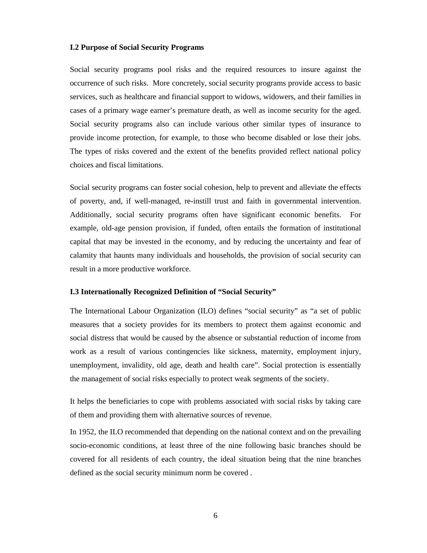#### **I.2 Purpose of Social Security Programs**

Social security programs pool risks and the required resources to insure against the occurrence of such risks. More concretely, social security programs provide access to basic services, such as healthcare and financial support to widows, widowers, and their families in cases of a primary wage earner's premature death, as well as income security for the aged. Social security programs also can include various other similar types of insurance to provide income protection, for example, to those who become disabled or lose their jobs. The types of risks covered and the extent of the benefits provided reflect national policy choices and fiscal limitations.

Social security programs can foster social cohesion, help to prevent and alleviate the effects of poverty, and, if well-managed, re-instill trust and faith in governmental intervention. Additionally, social security programs often have significant economic benefits. For example, old-age pension provision, if funded, often entails the formation of institutional capital that may be invested in the economy, and by reducing the uncertainty and fear of calamity that haunts many individuals and households, the provision of social security can result in a more productive workforce.

# **I.3 Internationally Recognized Definition of "Social Security"**

The International Labour Organization (ILO) defines "social security" as "a set of public measures that a society provides for its members to protect them against economic and social distress that would be caused by the absence or substantial reduction of income from work as a result of various contingencies like sickness, maternity, employment injury, unemployment, invalidity, old age, death and health care". Social protection is essentially the management of social risks especially to protect weak segments of the society.

It helps the beneficiaries to cope with problems associated with social risks by taking care of them and providing them with alternative sources of revenue.

In 1952, the ILO recommended that depending on the national context and on the prevailing socio-economic conditions, at least three of the nine following basic branches should be covered for all residents of each country, the ideal situation being that the nine branches defined as the social security minimum norm be covered .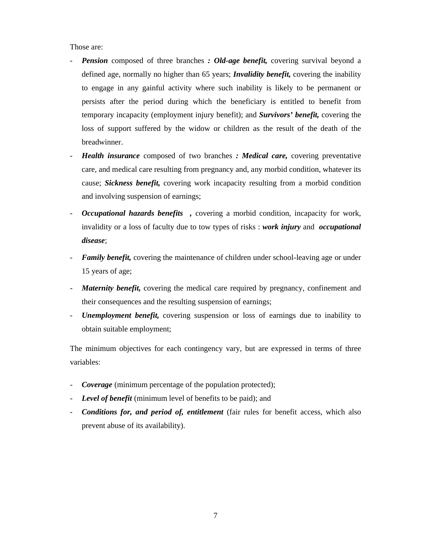Those are:

- *Pension* composed of three branches *: Old-age benefit,* covering survival beyond a defined age, normally no higher than 65 years; *Invalidity benefit,* covering the inability to engage in any gainful activity where such inability is likely to be permanent or persists after the period during which the beneficiary is entitled to benefit from temporary incapacity (employment injury benefit); and *Survivors' benefit,* covering the loss of support suffered by the widow or children as the result of the death of the breadwinner.
- *Health insurance* composed of two branches *: Medical care,* covering preventative care, and medical care resulting from pregnancy and, any morbid condition, whatever its cause; *Sickness benefit,* covering work incapacity resulting from a morbid condition and involving suspension of earnings;
- *Occupational hazards benefits ,* covering a morbid condition, incapacity for work, invalidity or a loss of faculty due to tow types of risks : *work injury* and *occupational disease*;
- *Family benefit,* covering the maintenance of children under school-leaving age or under 15 years of age;
- *Maternity benefit,* covering the medical care required by pregnancy, confinement and their consequences and the resulting suspension of earnings;
- *Unemployment benefit,* covering suspension or loss of earnings due to inability to obtain suitable employment;

The minimum objectives for each contingency vary, but are expressed in terms of three variables:

- *Coverage* (minimum percentage of the population protected);
- *Level of benefit* (minimum level of benefits to be paid); and
- *Conditions for, and period of, entitlement* (fair rules for benefit access, which also prevent abuse of its availability).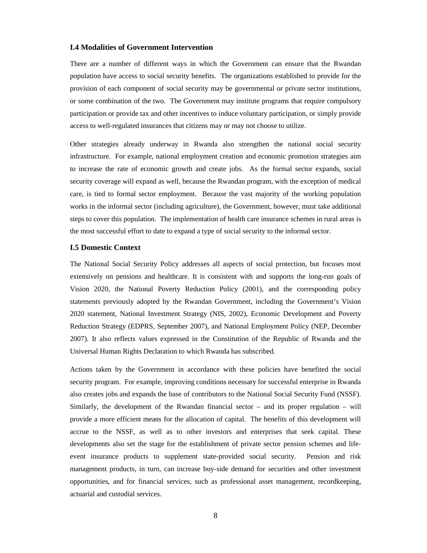#### **I.4 Modalities of Government Intervention**

There are a number of different ways in which the Government can ensure that the Rwandan population have access to social security benefits. The organizations established to provide for the provision of each component of social security may be governmental or private sector institutions, or some combination of the two. The Government may institute programs that require compulsory participation or provide tax and other incentives to induce voluntary participation, or simply provide access to well-regulated insurances that citizens may or may not choose to utilize.

Other strategies already underway in Rwanda also strengthen the national social security infrastructure. For example, national employment creation and economic promotion strategies aim to increase the rate of economic growth and create jobs. As the formal sector expands, social security coverage will expand as well, because the Rwandan program, with the exception of medical care, is tied to formal sector employment. Because the vast majority of the working population works in the informal sector (including agriculture), the Government, however, must take additional steps to cover this population. The implementation of health care insurance schemes in rural areas is the most successful effort to date to expand a type of social security to the informal sector.

#### **I.5 Domestic Context**

The National Social Security Policy addresses all aspects of social protection, but focuses most extensively on pensions and healthcare. It is consistent with and supports the long-run goals of Vision 2020, the National Poverty Reduction Policy (2001), and the corresponding policy statements previously adopted by the Rwandan Government, including the Government's Vision 2020 statement, National Investment Strategy (NIS, 2002), Economic Development and Poverty Reduction Strategy (EDPRS, September 2007), and National Employment Policy (NEP, December 2007). It also reflects values expressed in the Constitution of the Republic of Rwanda and the Universal Human Rights Declaration to which Rwanda has subscribed.

Actions taken by the Government in accordance with these policies have benefited the social security program. For example, improving conditions necessary for successful enterprise in Rwanda also creates jobs and expands the base of contributors to the National Social Security Fund (NSSF). Similarly, the development of the Rwandan financial sector – and its proper regulation – will provide a more efficient means for the allocation of capital. The benefits of this development will accrue to the NSSF, as well as to other investors and enterprises that seek capital. These developments also set the stage for the establishment of private sector pension schemes and lifeevent insurance products to supplement state-provided social security. Pension and risk management products, in turn, can increase buy-side demand for securities and other investment opportunities, and for financial services, such as professional asset management, recordkeeping, actuarial and custodial services.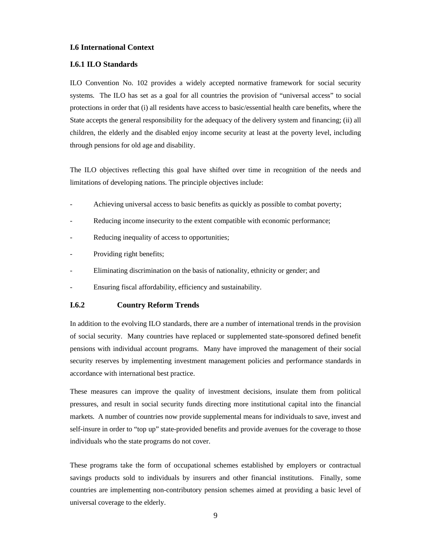# **I.6 International Context**

#### **I.6.1 ILO Standards**

ILO Convention No. 102 provides a widely accepted normative framework for social security systems. The ILO has set as a goal for all countries the provision of "universal access" to social protections in order that (i) all residents have access to basic/essential health care benefits, where the State accepts the general responsibility for the adequacy of the delivery system and financing; (ii) all children, the elderly and the disabled enjoy income security at least at the poverty level, including through pensions for old age and disability.

The ILO objectives reflecting this goal have shifted over time in recognition of the needs and limitations of developing nations. The principle objectives include:

- Achieving universal access to basic benefits as quickly as possible to combat poverty;
- Reducing income insecurity to the extent compatible with economic performance;
- Reducing inequality of access to opportunities;
- Providing right benefits;
- Eliminating discrimination on the basis of nationality, ethnicity or gender; and
- Ensuring fiscal affordability, efficiency and sustainability.

# **I.6.2 Country Reform Trends**

In addition to the evolving ILO standards, there are a number of international trends in the provision of social security. Many countries have replaced or supplemented state-sponsored defined benefit pensions with individual account programs. Many have improved the management of their social security reserves by implementing investment management policies and performance standards in accordance with international best practice.

These measures can improve the quality of investment decisions, insulate them from political pressures, and result in social security funds directing more institutional capital into the financial markets. A number of countries now provide supplemental means for individuals to save, invest and self-insure in order to "top up" state-provided benefits and provide avenues for the coverage to those individuals who the state programs do not cover.

These programs take the form of occupational schemes established by employers or contractual savings products sold to individuals by insurers and other financial institutions. Finally, some countries are implementing non-contributory pension schemes aimed at providing a basic level of universal coverage to the elderly.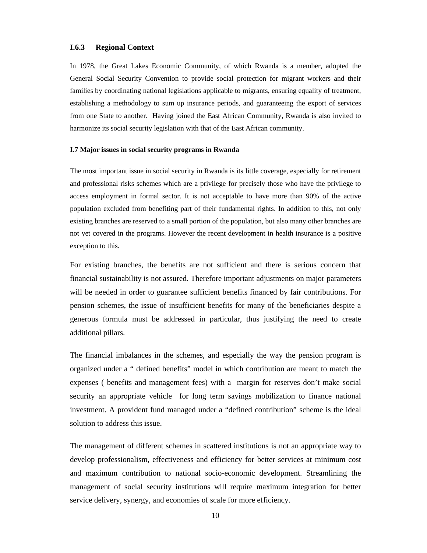# **I.6.3 Regional Context**

In 1978, the Great Lakes Economic Community, of which Rwanda is a member, adopted the General Social Security Convention to provide social protection for migrant workers and their families by coordinating national legislations applicable to migrants, ensuring equality of treatment, establishing a methodology to sum up insurance periods, and guaranteeing the export of services from one State to another. Having joined the East African Community, Rwanda is also invited to harmonize its social security legislation with that of the East African community.

#### **I.7 Major issues in social security programs in Rwanda**

The most important issue in social security in Rwanda is its little coverage, especially for retirement and professional risks schemes which are a privilege for precisely those who have the privilege to access employment in formal sector. It is not acceptable to have more than 90% of the active population excluded from benefiting part of their fundamental rights. In addition to this, not only existing branches are reserved to a small portion of the population, but also many other branches are not yet covered in the programs. However the recent development in health insurance is a positive exception to this.

For existing branches, the benefits are not sufficient and there is serious concern that financial sustainability is not assured. Therefore important adjustments on major parameters will be needed in order to guarantee sufficient benefits financed by fair contributions. For pension schemes, the issue of insufficient benefits for many of the beneficiaries despite a generous formula must be addressed in particular, thus justifying the need to create additional pillars.

The financial imbalances in the schemes, and especially the way the pension program is organized under a " defined benefits" model in which contribution are meant to match the expenses ( benefits and management fees) with a margin for reserves don't make social security an appropriate vehicle for long term savings mobilization to finance national investment. A provident fund managed under a "defined contribution" scheme is the ideal solution to address this issue.

The management of different schemes in scattered institutions is not an appropriate way to develop professionalism, effectiveness and efficiency for better services at minimum cost and maximum contribution to national socio-economic development. Streamlining the management of social security institutions will require maximum integration for better service delivery, synergy, and economies of scale for more efficiency.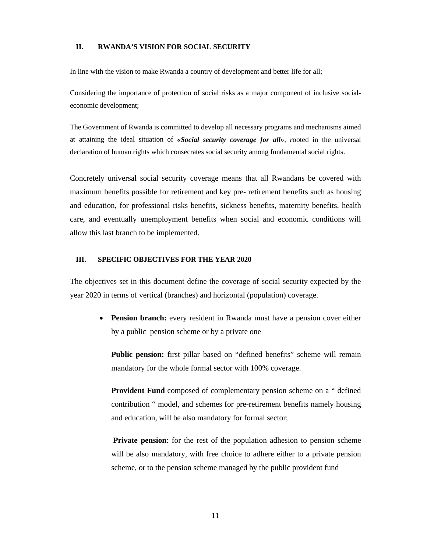# **II. RWANDA'S VISION FOR SOCIAL SECURITY**

In line with the vision to make Rwanda a country of development and better life for all;

Considering the importance of protection of social risks as a major component of inclusive socialeconomic development;

The Government of Rwanda is committed to develop all necessary programs and mechanisms aimed at attaining the ideal situation of *«Social security coverage for all», r*ooted in the universal declaration of human rights which consecrates social security among fundamental social rights.

Concretely universal social security coverage means that all Rwandans be covered with maximum benefits possible for retirement and key pre- retirement benefits such as housing and education, for professional risks benefits, sickness benefits, maternity benefits, health care, and eventually unemployment benefits when social and economic conditions will allow this last branch to be implemented.

#### **III. SPECIFIC OBJECTIVES FOR THE YEAR 2020**

The objectives set in this document define the coverage of social security expected by the year 2020 in terms of vertical (branches) and horizontal (population) coverage.

 **Pension branch:** every resident in Rwanda must have a pension cover either by a public pension scheme or by a private one

**Public pension:** first pillar based on "defined benefits" scheme will remain mandatory for the whole formal sector with 100% coverage.

**Provident Fund** composed of complementary pension scheme on a " defined contribution " model, and schemes for pre-retirement benefits namely housing and education, will be also mandatory for formal sector;

**Private pension**: for the rest of the population adhesion to pension scheme will be also mandatory, with free choice to adhere either to a private pension scheme, or to the pension scheme managed by the public provident fund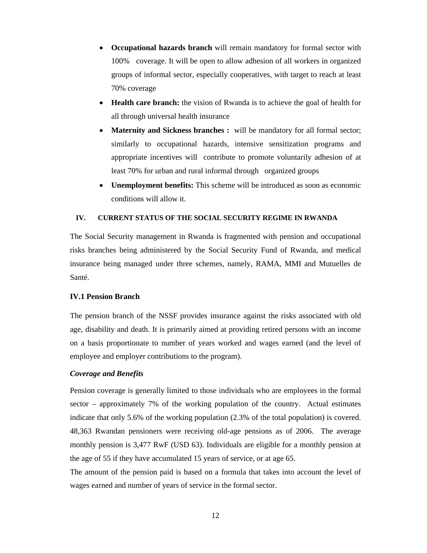- **Occupational hazards branch** will remain mandatory for formal sector with 100% coverage. It will be open to allow adhesion of all workers in organized groups of informal sector, especially cooperatives, with target to reach at least 70% coverage
- **Health care branch:** the vision of Rwanda is to achieve the goal of health for all through universal health insurance
- **Maternity and Sickness branches :** will be mandatory for all formal sector; similarly to occupational hazards, intensive sensitization programs and appropriate incentives will contribute to promote voluntarily adhesion of at least 70% for urban and rural informal through organized groups
- **Unemployment benefits:** This scheme will be introduced as soon as economic conditions will allow it.

# **IV. CURRENT STATUS OF THE SOCIAL SECURITY REGIME IN RWANDA**

The Social Security management in Rwanda is fragmented with pension and occupational risks branches being administered by the Social Security Fund of Rwanda, and medical insurance being managed under three schemes, namely, RAMA, MMI and Mutuelles de Santé.

# **IV.1 Pension Branch**

The pension branch of the NSSF provides insurance against the risks associated with old age, disability and death. It is primarily aimed at providing retired persons with an income on a basis proportionate to number of years worked and wages earned (and the level of employee and employer contributions to the program).

# *Coverage and Benefits*

Pension coverage is generally limited to those individuals who are employees in the formal sector – approximately 7% of the working population of the country. Actual estimates indicate that only 5.6% of the working population (2.3% of the total population) is covered. 48,363 Rwandan pensioners were receiving old-age pensions as of 2006. The average monthly pension is 3,477 RwF (USD 63). Individuals are eligible for a monthly pension at the age of 55 if they have accumulated 15 years of service, or at age 65.

The amount of the pension paid is based on a formula that takes into account the level of wages earned and number of years of service in the formal sector.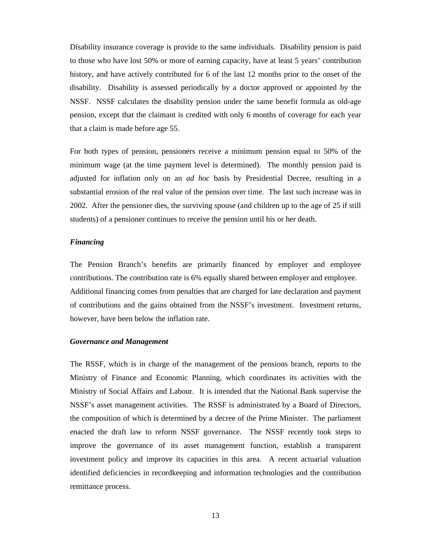Disability insurance coverage is provide to the same individuals. Disability pension is paid to those who have lost 50% or more of earning capacity, have at least 5 years' contribution history, and have actively contributed for 6 of the last 12 months prior to the onset of the disability. Disability is assessed periodically by a doctor approved or appointed by the NSSF. NSSF calculates the disability pension under the same benefit formula as old-age pension, except that the claimant is credited with only 6 months of coverage for each year that a claim is made before age 55.

For both types of pension, pensioners receive a minimum pension equal to 50% of the minimum wage (at the time payment level is determined). The monthly pension paid is adjusted for inflation only on an *ad hoc* basis by Presidential Decree, resulting in a substantial erosion of the real value of the pension over time. The last such increase was in 2002. After the pensioner dies, the surviving spouse (and children up to the age of 25 if still students) of a pensioner continues to receive the pension until his or her death.

# *Financing*

The Pension Branch's benefits are primarily financed by employer and employee contributions. The contribution rate is 6% equally shared between employer and employee. Additional financing comes from penalties that are charged for late declaration and payment of contributions and the gains obtained from the NSSF's investment. Investment returns, however, have been below the inflation rate.

# *Governance and Management*

The RSSF, which is in charge of the management of the pensions branch, reports to the Ministry of Finance and Economic Planning, which coordinates its activities with the Ministry of Social Affairs and Labour. It is intended that the National Bank supervise the NSSF's asset management activities. The RSSF is administrated by a Board of Directors, the composition of which is determined by a decree of the Prime Minister. The parliament enacted the draft law to reform NSSF governance. The NSSF recently took steps to improve the governance of its asset management function, establish a transparent investment policy and improve its capacities in this area. A recent actuarial valuation identified deficiencies in recordkeeping and information technologies and the contribution remittance process.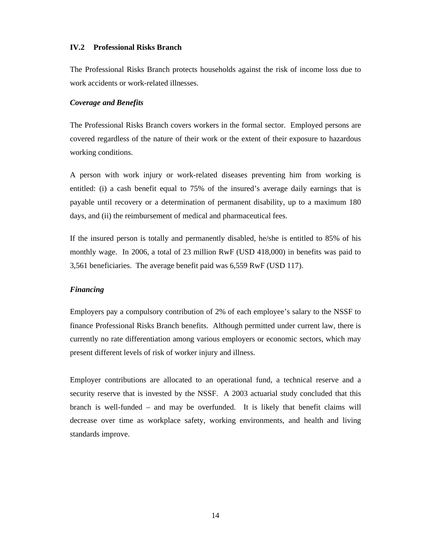# **IV.2 Professional Risks Branch**

The Professional Risks Branch protects households against the risk of income loss due to work accidents or work-related illnesses.

#### *Coverage and Benefits*

The Professional Risks Branch covers workers in the formal sector. Employed persons are covered regardless of the nature of their work or the extent of their exposure to hazardous working conditions.

A person with work injury or work-related diseases preventing him from working is entitled: (i) a cash benefit equal to 75% of the insured's average daily earnings that is payable until recovery or a determination of permanent disability, up to a maximum 180 days, and (ii) the reimbursement of medical and pharmaceutical fees.

If the insured person is totally and permanently disabled, he/she is entitled to 85% of his monthly wage. In 2006, a total of 23 million RwF (USD 418,000) in benefits was paid to 3,561 beneficiaries. The average benefit paid was 6,559 RwF (USD 117).

# *Financing*

Employers pay a compulsory contribution of 2% of each employee's salary to the NSSF to finance Professional Risks Branch benefits. Although permitted under current law, there is currently no rate differentiation among various employers or economic sectors, which may present different levels of risk of worker injury and illness.

Employer contributions are allocated to an operational fund, a technical reserve and a security reserve that is invested by the NSSF. A 2003 actuarial study concluded that this branch is well-funded – and may be overfunded. It is likely that benefit claims will decrease over time as workplace safety, working environments, and health and living standards improve.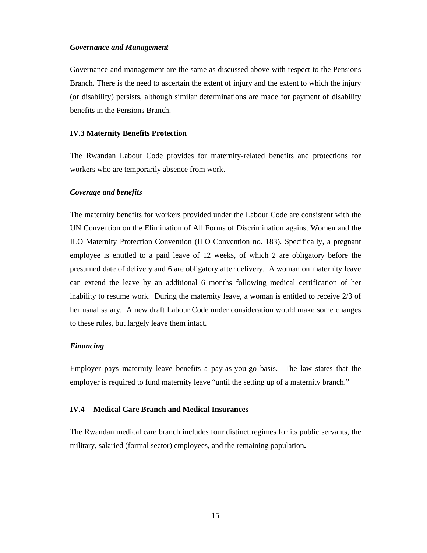# *Governance and Management*

Governance and management are the same as discussed above with respect to the Pensions Branch. There is the need to ascertain the extent of injury and the extent to which the injury (or disability) persists, although similar determinations are made for payment of disability benefits in the Pensions Branch.

#### **IV.3 Maternity Benefits Protection**

The Rwandan Labour Code provides for maternity-related benefits and protections for workers who are temporarily absence from work.

#### *Coverage and benefits*

The maternity benefits for workers provided under the Labour Code are consistent with the UN Convention on the Elimination of All Forms of Discrimination against Women and the ILO Maternity Protection Convention (ILO Convention no. 183). Specifically, a pregnant employee is entitled to a paid leave of 12 weeks, of which 2 are obligatory before the presumed date of delivery and 6 are obligatory after delivery. A woman on maternity leave can extend the leave by an additional 6 months following medical certification of her inability to resume work. During the maternity leave, a woman is entitled to receive 2/3 of her usual salary. A new draft Labour Code under consideration would make some changes to these rules, but largely leave them intact.

# *Financing*

Employer pays maternity leave benefits a pay-as-you-go basis. The law states that the employer is required to fund maternity leave "until the setting up of a maternity branch."

#### **IV.4 Medical Care Branch and Medical Insurances**

The Rwandan medical care branch includes four distinct regimes for its public servants, the military, salaried (formal sector) employees, and the remaining population**.**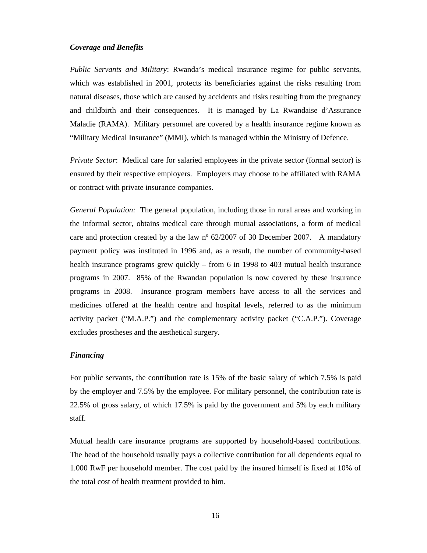# *Coverage and Benefits*

*Public Servants and Military*: Rwanda's medical insurance regime for public servants, which was established in 2001, protects its beneficiaries against the risks resulting from natural diseases, those which are caused by accidents and risks resulting from the pregnancy and childbirth and their consequences. It is managed by La Rwandaise d'Assurance Maladie (RAMA). Military personnel are covered by a health insurance regime known as "Military Medical Insurance" (MMI), which is managed within the Ministry of Defence.

*Private Sector*: Medical care for salaried employees in the private sector (formal sector) is ensured by their respective employers. Employers may choose to be affiliated with RAMA or contract with private insurance companies.

*General Population:* The general population, including those in rural areas and working in the informal sector, obtains medical care through mutual associations, a form of medical care and protection created by a the law  $n^{\circ}$  62/2007 of 30 December 2007. A mandatory payment policy was instituted in 1996 and, as a result, the number of community-based health insurance programs grew quickly – from 6 in 1998 to 403 mutual health insurance programs in 2007. 85% of the Rwandan population is now covered by these insurance programs in 2008. Insurance program members have access to all the services and medicines offered at the health centre and hospital levels, referred to as the minimum activity packet ("M.A.P.") and the complementary activity packet ("C.A.P."). Coverage excludes prostheses and the aesthetical surgery.

#### *Financing*

For public servants, the contribution rate is 15% of the basic salary of which 7.5% is paid by the employer and 7.5% by the employee. For military personnel, the contribution rate is 22.5% of gross salary, of which 17.5% is paid by the government and 5% by each military staff.

Mutual health care insurance programs are supported by household-based contributions. The head of the household usually pays a collective contribution for all dependents equal to 1.000 RwF per household member. The cost paid by the insured himself is fixed at 10% of the total cost of health treatment provided to him.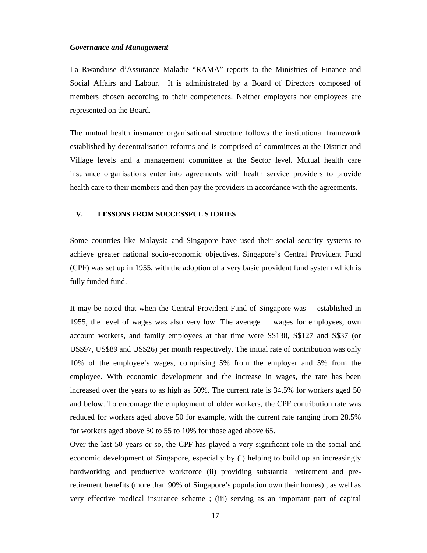## *Governance and Management*

La Rwandaise d'Assurance Maladie "RAMA" reports to the Ministries of Finance and Social Affairs and Labour. It is administrated by a Board of Directors composed of members chosen according to their competences. Neither employers nor employees are represented on the Board.

The mutual health insurance organisational structure follows the institutional framework established by decentralisation reforms and is comprised of committees at the District and Village levels and a management committee at the Sector level. Mutual health care insurance organisations enter into agreements with health service providers to provide health care to their members and then pay the providers in accordance with the agreements.

#### **V. LESSONS FROM SUCCESSFUL STORIES**

Some countries like Malaysia and Singapore have used their social security systems to achieve greater national socio-economic objectives. Singapore's Central Provident Fund (CPF) was set up in 1955, with the adoption of a very basic provident fund system which is fully funded fund.

It may be noted that when the Central Provident Fund of Singapore was established in 1955, the level of wages was also very low. The average wages for employees, own account workers, and family employees at that time were S\$138, S\$127 and S\$37 (or US\$97, US\$89 and US\$26) per month respectively. The initial rate of contribution was only 10% of the employee's wages, comprising 5% from the employer and 5% from the employee. With economic development and the increase in wages, the rate has been increased over the years to as high as 50%. The current rate is 34.5% for workers aged 50 and below. To encourage the employment of older workers, the CPF contribution rate was reduced for workers aged above 50 for example, with the current rate ranging from 28.5% for workers aged above 50 to 55 to 10% for those aged above 65.

Over the last 50 years or so, the CPF has played a very significant role in the social and economic development of Singapore, especially by (i) helping to build up an increasingly hardworking and productive workforce (ii) providing substantial retirement and preretirement benefits (more than 90% of Singapore's population own their homes) , as well as very effective medical insurance scheme ; (iii) serving as an important part of capital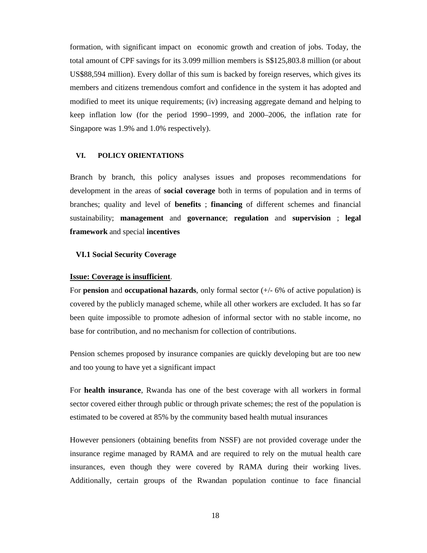formation, with significant impact on economic growth and creation of jobs. Today, the total amount of CPF savings for its 3.099 million members is S\$125,803.8 million (or about US\$88,594 million). Every dollar of this sum is backed by foreign reserves, which gives its members and citizens tremendous comfort and confidence in the system it has adopted and modified to meet its unique requirements; (iv) increasing aggregate demand and helping to keep inflation low (for the period 1990–1999, and 2000–2006, the inflation rate for Singapore was 1.9% and 1.0% respectively).

#### **VI. POLICY ORIENTATIONS**

Branch by branch, this policy analyses issues and proposes recommendations for development in the areas of **social coverage** both in terms of population and in terms of branches; quality and level of **benefits** ; **financing** of different schemes and financial sustainability; **management** and **governance**; **regulation** and **supervision** ; **legal framework** and special **incentives**

#### **VI.1 Social Security Coverage**

#### **Issue: Coverage is insufficient**.

For **pension** and **occupational hazards**, only formal sector ( $+/-$  6% of active population) is covered by the publicly managed scheme, while all other workers are excluded. It has so far been quite impossible to promote adhesion of informal sector with no stable income, no base for contribution, and no mechanism for collection of contributions.

Pension schemes proposed by insurance companies are quickly developing but are too new and too young to have yet a significant impact

For **health insurance**, Rwanda has one of the best coverage with all workers in formal sector covered either through public or through private schemes; the rest of the population is estimated to be covered at 85% by the community based health mutual insurances

However pensioners (obtaining benefits from NSSF) are not provided coverage under the insurance regime managed by RAMA and are required to rely on the mutual health care insurances, even though they were covered by RAMA during their working lives. Additionally, certain groups of the Rwandan population continue to face financial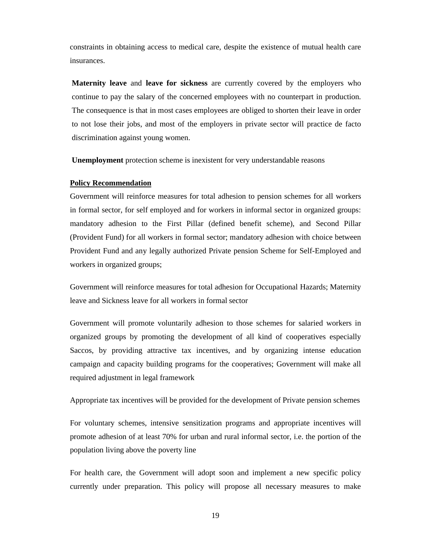constraints in obtaining access to medical care, despite the existence of mutual health care insurances.

**Maternity leave** and **leave for sickness** are currently covered by the employers who continue to pay the salary of the concerned employees with no counterpart in production. The consequence is that in most cases employees are obliged to shorten their leave in order to not lose their jobs, and most of the employers in private sector will practice de facto discrimination against young women.

**Unemployment** protection scheme is inexistent for very understandable reasons

# **Policy Recommendation**

Government will reinforce measures for total adhesion to pension schemes for all workers in formal sector, for self employed and for workers in informal sector in organized groups: mandatory adhesion to the First Pillar (defined benefit scheme), and Second Pillar (Provident Fund) for all workers in formal sector; mandatory adhesion with choice between Provident Fund and any legally authorized Private pension Scheme for Self-Employed and workers in organized groups;

Government will reinforce measures for total adhesion for Occupational Hazards; Maternity leave and Sickness leave for all workers in formal sector

Government will promote voluntarily adhesion to those schemes for salaried workers in organized groups by promoting the development of all kind of cooperatives especially Saccos, by providing attractive tax incentives, and by organizing intense education campaign and capacity building programs for the cooperatives; Government will make all required adjustment in legal framework

Appropriate tax incentives will be provided for the development of Private pension schemes

For voluntary schemes, intensive sensitization programs and appropriate incentives will promote adhesion of at least 70% for urban and rural informal sector, i.e. the portion of the population living above the poverty line

For health care, the Government will adopt soon and implement a new specific policy currently under preparation. This policy will propose all necessary measures to make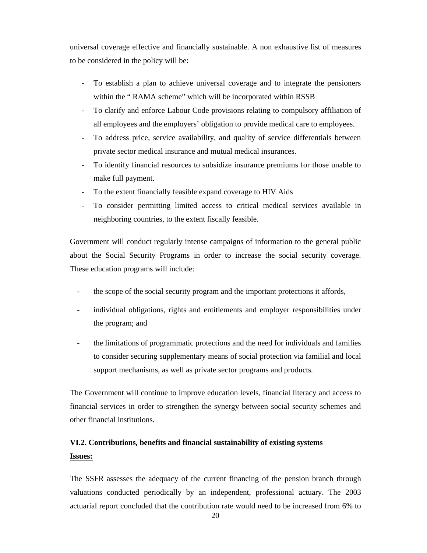universal coverage effective and financially sustainable. A non exhaustive list of measures to be considered in the policy will be:

- To establish a plan to achieve universal coverage and to integrate the pensioners within the " RAMA scheme" which will be incorporated within RSSB
- To clarify and enforce Labour Code provisions relating to compulsory affiliation of all employees and the employers' obligation to provide medical care to employees.
- To address price, service availability, and quality of service differentials between private sector medical insurance and mutual medical insurances.
- To identify financial resources to subsidize insurance premiums for those unable to make full payment.
- To the extent financially feasible expand coverage to HIV Aids
- To consider permitting limited access to critical medical services available in neighboring countries, to the extent fiscally feasible.

Government will conduct regularly intense campaigns of information to the general public about the Social Security Programs in order to increase the social security coverage. These education programs will include:

- the scope of the social security program and the important protections it affords,
- individual obligations, rights and entitlements and employer responsibilities under the program; and
- the limitations of programmatic protections and the need for individuals and families to consider securing supplementary means of social protection via familial and local support mechanisms, as well as private sector programs and products.

The Government will continue to improve education levels, financial literacy and access to financial services in order to strengthen the synergy between social security schemes and other financial institutions.

# **VI.2. Contributions, benefits and financial sustainability of existing systems Issues:**

The SSFR assesses the adequacy of the current financing of the pension branch through valuations conducted periodically by an independent, professional actuary. The 2003 actuarial report concluded that the contribution rate would need to be increased from 6% to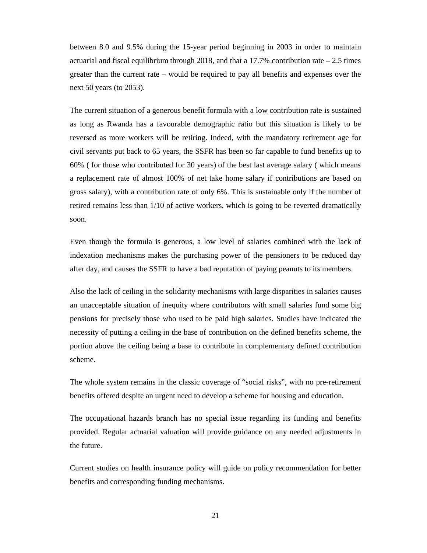between 8.0 and 9.5% during the 15-year period beginning in 2003 in order to maintain actuarial and fiscal equilibrium through 2018, and that a  $17.7\%$  contribution rate  $-2.5$  times greater than the current rate – would be required to pay all benefits and expenses over the next 50 years (to 2053).

The current situation of a generous benefit formula with a low contribution rate is sustained as long as Rwanda has a favourable demographic ratio but this situation is likely to be reversed as more workers will be retiring. Indeed, with the mandatory retirement age for civil servants put back to 65 years, the SSFR has been so far capable to fund benefits up to 60% ( for those who contributed for 30 years) of the best last average salary ( which means a replacement rate of almost 100% of net take home salary if contributions are based on gross salary), with a contribution rate of only 6%. This is sustainable only if the number of retired remains less than 1/10 of active workers, which is going to be reverted dramatically soon.

Even though the formula is generous, a low level of salaries combined with the lack of indexation mechanisms makes the purchasing power of the pensioners to be reduced day after day, and causes the SSFR to have a bad reputation of paying peanuts to its members.

Also the lack of ceiling in the solidarity mechanisms with large disparities in salaries causes an unacceptable situation of inequity where contributors with small salaries fund some big pensions for precisely those who used to be paid high salaries. Studies have indicated the necessity of putting a ceiling in the base of contribution on the defined benefits scheme, the portion above the ceiling being a base to contribute in complementary defined contribution scheme.

The whole system remains in the classic coverage of "social risks", with no pre-retirement benefits offered despite an urgent need to develop a scheme for housing and education.

The occupational hazards branch has no special issue regarding its funding and benefits provided. Regular actuarial valuation will provide guidance on any needed adjustments in the future.

Current studies on health insurance policy will guide on policy recommendation for better benefits and corresponding funding mechanisms.

21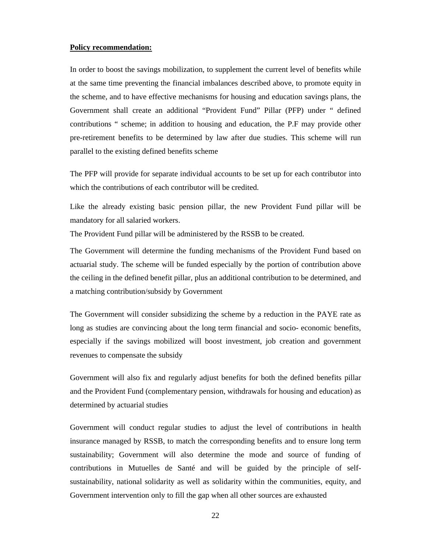# **Policy recommendation:**

In order to boost the savings mobilization, to supplement the current level of benefits while at the same time preventing the financial imbalances described above, to promote equity in the scheme, and to have effective mechanisms for housing and education savings plans, the Government shall create an additional "Provident Fund" Pillar (PFP) under " defined contributions " scheme; in addition to housing and education, the P.F may provide other pre-retirement benefits to be determined by law after due studies. This scheme will run parallel to the existing defined benefits scheme

The PFP will provide for separate individual accounts to be set up for each contributor into which the contributions of each contributor will be credited.

Like the already existing basic pension pillar, the new Provident Fund pillar will be mandatory for all salaried workers.

The Provident Fund pillar will be administered by the RSSB to be created.

The Government will determine the funding mechanisms of the Provident Fund based on actuarial study. The scheme will be funded especially by the portion of contribution above the ceiling in the defined benefit pillar, plus an additional contribution to be determined, and a matching contribution/subsidy by Government

The Government will consider subsidizing the scheme by a reduction in the PAYE rate as long as studies are convincing about the long term financial and socio- economic benefits, especially if the savings mobilized will boost investment, job creation and government revenues to compensate the subsidy

Government will also fix and regularly adjust benefits for both the defined benefits pillar and the Provident Fund (complementary pension, withdrawals for housing and education) as determined by actuarial studies

Government will conduct regular studies to adjust the level of contributions in health insurance managed by RSSB, to match the corresponding benefits and to ensure long term sustainability; Government will also determine the mode and source of funding of contributions in Mutuelles de Santé and will be guided by the principle of selfsustainability, national solidarity as well as solidarity within the communities, equity, and Government intervention only to fill the gap when all other sources are exhausted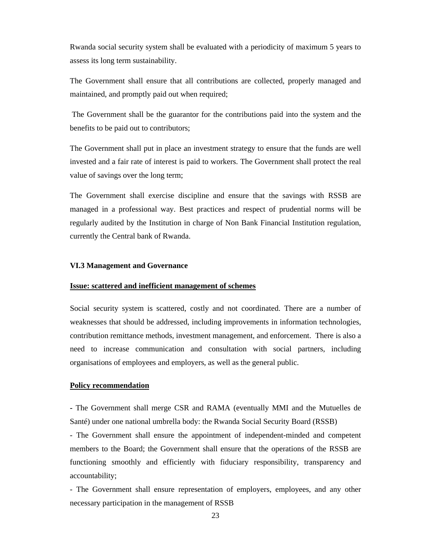Rwanda social security system shall be evaluated with a periodicity of maximum 5 years to assess its long term sustainability.

The Government shall ensure that all contributions are collected, properly managed and maintained, and promptly paid out when required;

The Government shall be the guarantor for the contributions paid into the system and the benefits to be paid out to contributors;

The Government shall put in place an investment strategy to ensure that the funds are well invested and a fair rate of interest is paid to workers. The Government shall protect the real value of savings over the long term;

The Government shall exercise discipline and ensure that the savings with RSSB are managed in a professional way. Best practices and respect of prudential norms will be regularly audited by the Institution in charge of Non Bank Financial Institution regulation, currently the Central bank of Rwanda.

#### **VI.3 Management and Governance**

#### **Issue: scattered and inefficient management of schemes**

Social security system is scattered, costly and not coordinated. There are a number of weaknesses that should be addressed, including improvements in information technologies, contribution remittance methods, investment management, and enforcement. There is also a need to increase communication and consultation with social partners, including organisations of employees and employers, as well as the general public.

# **Policy recommendation**

*-* The Government shall merge CSR and RAMA (eventually MMI and the Mutuelles de Santé) under one national umbrella body: the Rwanda Social Security Board (RSSB)

- The Government shall ensure the appointment of independent-minded and competent members to the Board; the Government shall ensure that the operations of the RSSB are functioning smoothly and efficiently with fiduciary responsibility, transparency and accountability;

- The Government shall ensure representation of employers, employees, and any other necessary participation in the management of RSSB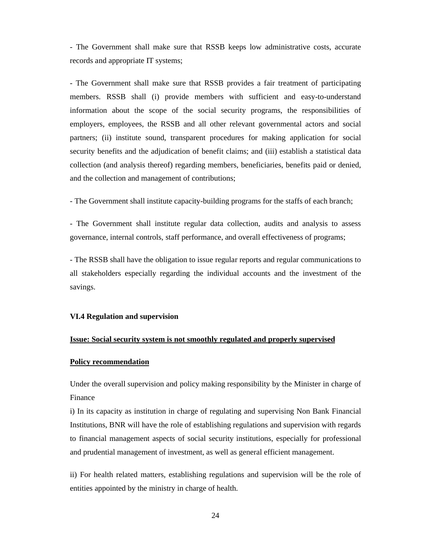- The Government shall make sure that RSSB keeps low administrative costs, accurate records and appropriate IT systems;

- The Government shall make sure that RSSB provides a fair treatment of participating members. RSSB shall (i) provide members with sufficient and easy-to-understand information about the scope of the social security programs, the responsibilities of employers, employees, the RSSB and all other relevant governmental actors and social partners; (ii) institute sound, transparent procedures for making application for social security benefits and the adjudication of benefit claims; and (iii) establish a statistical data collection (and analysis thereof) regarding members, beneficiaries, benefits paid or denied, and the collection and management of contributions;

- The Government shall institute capacity-building programs for the staffs of each branch;

- The Government shall institute regular data collection, audits and analysis to assess governance, internal controls, staff performance, and overall effectiveness of programs;

- The RSSB shall have the obligation to issue regular reports and regular communications to all stakeholders especially regarding the individual accounts and the investment of the savings.

#### **VI.4 Regulation and supervision**

### **Issue: Social security system is not smoothly regulated and properly supervised**

#### **Policy recommendation**

Under the overall supervision and policy making responsibility by the Minister in charge of Finance

i) In its capacity as institution in charge of regulating and supervising Non Bank Financial Institutions, BNR will have the role of establishing regulations and supervision with regards to financial management aspects of social security institutions, especially for professional and prudential management of investment, as well as general efficient management.

ii) For health related matters, establishing regulations and supervision will be the role of entities appointed by the ministry in charge of health.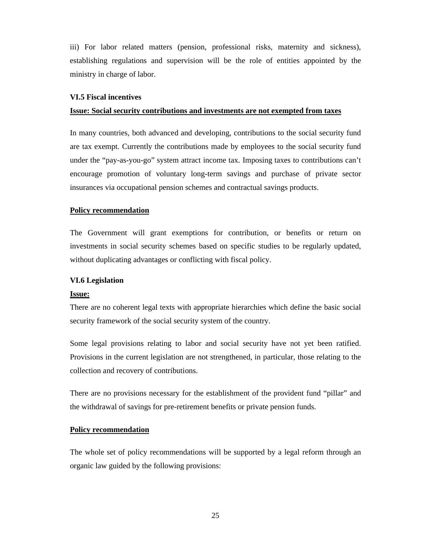iii) For labor related matters (pension, professional risks, maternity and sickness), establishing regulations and supervision will be the role of entities appointed by the ministry in charge of labor.

#### **VI.5 Fiscal incentives**

#### **Issue: Social security contributions and investments are not exempted from taxes**

In many countries, both advanced and developing, contributions to the social security fund are tax exempt. Currently the contributions made by employees to the social security fund under the "pay-as-you-go" system attract income tax. Imposing taxes to contributions can't encourage promotion of voluntary long-term savings and purchase of private sector insurances via occupational pension schemes and contractual savings products.

#### **Policy recommendation**

The Government will grant exemptions for contribution, or benefits or return on investments in social security schemes based on specific studies to be regularly updated, without duplicating advantages or conflicting with fiscal policy.

#### **VI.6 Legislation**

#### **Issue:**

There are no coherent legal texts with appropriate hierarchies which define the basic social security framework of the social security system of the country.

Some legal provisions relating to labor and social security have not yet been ratified. Provisions in the current legislation are not strengthened, in particular, those relating to the collection and recovery of contributions.

There are no provisions necessary for the establishment of the provident fund "pillar" and the withdrawal of savings for pre-retirement benefits or private pension funds.

# **Policy recommendation**

The whole set of policy recommendations will be supported by a legal reform through an organic law guided by the following provisions: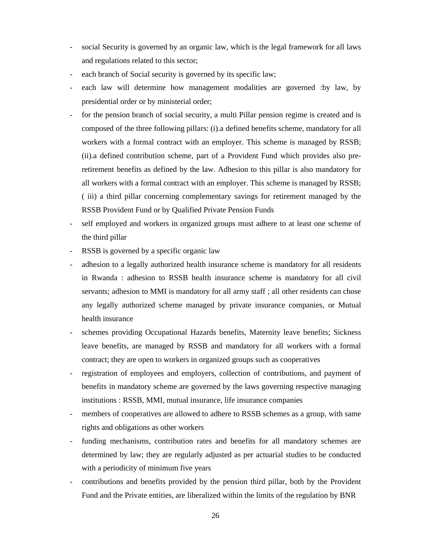- social Security is governed by an organic law, which is the legal framework for all laws and regulations related to this sector;
- each branch of Social security is governed by its specific law;
- each law will determine how management modalities are governed :by law, by presidential order or by ministerial order;
- for the pension branch of social security, a multi Pillar pension regime is created and is composed of the three following pillars: (i).a defined benefits scheme, mandatory for all workers with a formal contract with an employer. This scheme is managed by RSSB; (ii).a defined contribution scheme, part of a Provident Fund which provides also preretirement benefits as defined by the law. Adhesion to this pillar is also mandatory for all workers with a formal contract with an employer. This scheme is managed by RSSB; ( iii) a third pillar concerning complementary savings for retirement managed by the RSSB Provident Fund or by Qualified Private Pension Funds
- self employed and workers in organized groups must adhere to at least one scheme of the third pillar
- RSSB is governed by a specific organic law
- adhesion to a legally authorized health insurance scheme is mandatory for all residents in Rwanda : adhesion to RSSB health insurance scheme is mandatory for all civil servants; adhesion to MMI is mandatory for all army staff ; all other residents can chose any legally authorized scheme managed by private insurance companies, or Mutual health insurance
- schemes providing Occupational Hazards benefits, Maternity leave benefits; Sickness leave benefits, are managed by RSSB and mandatory for all workers with a formal contract; they are open to workers in organized groups such as cooperatives
- registration of employees and employers, collection of contributions, and payment of benefits in mandatory scheme are governed by the laws governing respective managing institutions : RSSB, MMI, mutual insurance, life insurance companies
- members of cooperatives are allowed to adhere to RSSB schemes as a group, with same rights and obligations as other workers
- funding mechanisms, contribution rates and benefits for all mandatory schemes are determined by law; they are regularly adjusted as per actuarial studies to be conducted with a periodicity of minimum five years
- contributions and benefits provided by the pension third pillar, both by the Provident Fund and the Private entities, are liberalized within the limits of the regulation by BNR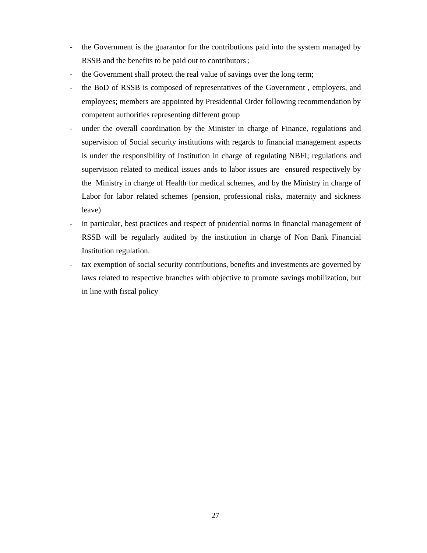- the Government is the guarantor for the contributions paid into the system managed by RSSB and the benefits to be paid out to contributors ;
- the Government shall protect the real value of savings over the long term;
- the BoD of RSSB is composed of representatives of the Government, employers, and employees; members are appointed by Presidential Order following recommendation by competent authorities representing different group
- under the overall coordination by the Minister in charge of Finance, regulations and supervision of Social security institutions with regards to financial management aspects is under the responsibility of Institution in charge of regulating NBFI; regulations and supervision related to medical issues ands to labor issues are ensured respectively by the Ministry in charge of Health for medical schemes, and by the Ministry in charge of Labor for labor related schemes (pension, professional risks, maternity and sickness leave)
- in particular, best practices and respect of prudential norms in financial management of RSSB will be regularly audited by the institution in charge of Non Bank Financial Institution regulation.
- tax exemption of social security contributions, benefits and investments are governed by laws related to respective branches with objective to promote savings mobilization, but in line with fiscal policy